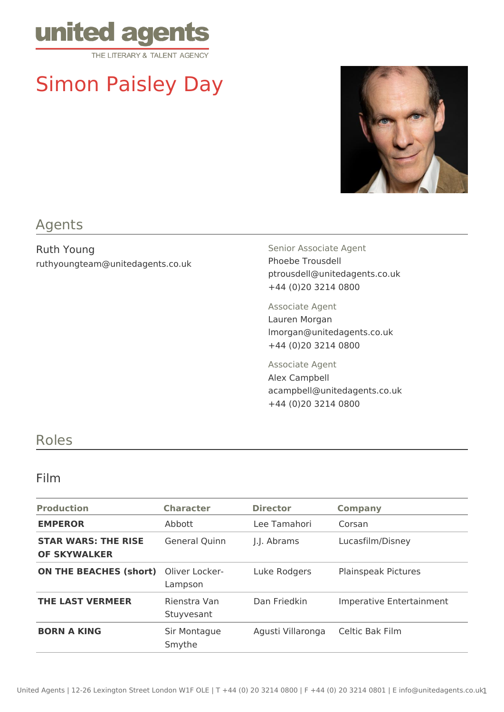

# Simon Paisley Day



# Agents

Ruth Young ruthyoungteam@unitedagents.co.uk Senior Associate Agent Phoebe Trousdell ptrousdell@unitedagents.co.uk +44 (0)20 3214 0800

Associate Agent Lauren Morgan lmorgan@unitedagents.co.uk +44 (0)20 3214 0800

Associate Agent Alex Campbell acampbell@unitedagents.co.uk +44 (0)20 3214 0800

### Roles

#### Film

| <b>Production</b>                                 | <b>Character</b>           | <b>Director</b>   | <b>Company</b>           |
|---------------------------------------------------|----------------------------|-------------------|--------------------------|
| <b>EMPEROR</b>                                    | Abbott                     | Lee Tamahori      | Corsan                   |
| <b>STAR WARS: THE RISE</b><br><b>OF SKYWALKER</b> | General Quinn              | J.J. Abrams       | Lucasfilm/Disney         |
| <b>ON THE BEACHES (short)</b>                     | Oliver Locker-<br>Lampson  | Luke Rodgers      | Plainspeak Pictures      |
| <b>THE LAST VERMEER</b>                           | Rienstra Van<br>Stuyvesant | Dan Friedkin      | Imperative Entertainment |
| <b>BORN A KING</b>                                | Sir Montague<br>Smythe     | Agusti Villaronga | Celtic Bak Film          |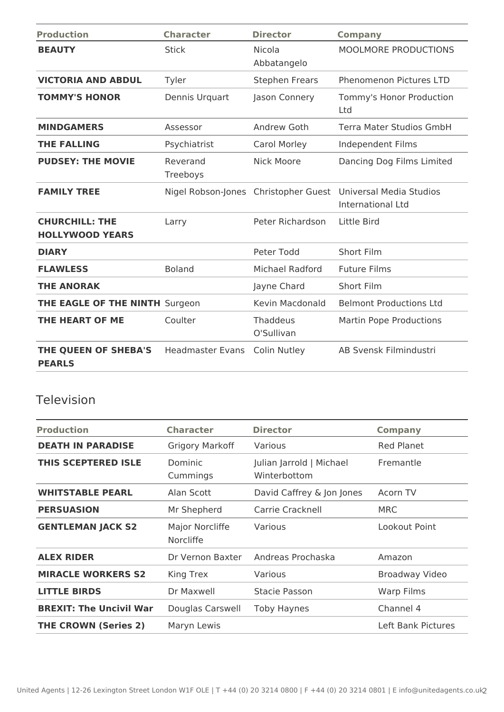| <b>Production</b>                               | <b>Character</b>                     | <b>Director</b>        | <b>Company</b>                                             |
|-------------------------------------------------|--------------------------------------|------------------------|------------------------------------------------------------|
| <b>BEAUTY</b>                                   | <b>Stick</b>                         | Nicola<br>Abbatangelo  | <b>MOOLMORE PRODUCTIONS</b>                                |
| <b>VICTORIA AND ABDUL</b>                       | Tyler                                | <b>Stephen Frears</b>  | Phenomenon Pictures LTD                                    |
| <b>TOMMY'S HONOR</b>                            | Dennis Urquart                       | Jason Connery          | Tommy's Honor Production<br>Ltd                            |
| <b>MINDGAMERS</b>                               | Assessor                             | Andrew Goth            | <b>Terra Mater Studios GmbH</b>                            |
| <b>THE FALLING</b>                              | Psychiatrist                         | <b>Carol Morley</b>    | Independent Films                                          |
| <b>PUDSEY: THE MOVIE</b>                        | Reverand<br>Treeboys                 | <b>Nick Moore</b>      | Dancing Dog Films Limited                                  |
| <b>FAMILY TREE</b>                              | Nigel Robson-Jones Christopher Guest |                        | <b>Universal Media Studios</b><br><b>International Ltd</b> |
| <b>CHURCHILL: THE</b><br><b>HOLLYWOOD YEARS</b> | Larry                                | Peter Richardson       | Little Bird                                                |
| <b>DIARY</b>                                    |                                      | Peter Todd             | <b>Short Film</b>                                          |
| <b>FLAWLESS</b>                                 | <b>Boland</b>                        | Michael Radford        | <b>Future Films</b>                                        |
| <b>THE ANORAK</b>                               |                                      | Jayne Chard            | <b>Short Film</b>                                          |
| <b>THE EAGLE OF THE NINTH Surgeon</b>           |                                      | Kevin Macdonald        | <b>Belmont Productions Ltd</b>                             |
| THE HEART OF ME                                 | Coulter                              | Thaddeus<br>O'Sullivan | <b>Martin Pope Productions</b>                             |
| THE QUEEN OF SHEBA'S<br><b>PEARLS</b>           | <b>Headmaster Evans</b>              | <b>Colin Nutley</b>    | AB Svensk Filmindustri                                     |

# Television

| <b>Production</b>              | <b>Character</b>                    | <b>Director</b>                          | <b>Company</b>        |
|--------------------------------|-------------------------------------|------------------------------------------|-----------------------|
| <b>DEATH IN PARADISE</b>       | <b>Grigory Markoff</b>              | Various                                  | <b>Red Planet</b>     |
| <b>THIS SCEPTERED ISLE</b>     | Dominic<br>Cummings                 | Julian Jarrold   Michael<br>Winterbottom | Fremantle             |
| <b>WHITSTABLE PEARL</b>        | Alan Scott                          | David Caffrey & Jon Jones                | Acorn TV              |
| <b>PERSUASION</b>              | Mr Shepherd                         | Carrie Cracknell                         | <b>MRC</b>            |
| <b>GENTLEMAN JACK S2</b>       | Major Norcliffe<br><b>Norcliffe</b> | Various                                  | Lookout Point         |
| <b>ALEX RIDER</b>              | Dr Vernon Baxter                    | Andreas Prochaska                        | Amazon                |
| <b>MIRACLE WORKERS S2</b>      | King Trex                           | Various                                  | <b>Broadway Video</b> |
| <b>LITTLE BIRDS</b>            | Dr Maxwell                          | Stacie Passon                            | <b>Warp Films</b>     |
| <b>BREXIT: The Uncivil War</b> | Douglas Carswell                    | <b>Toby Haynes</b>                       | Channel 4             |
| <b>THE CROWN (Series 2)</b>    | Maryn Lewis                         |                                          | Left Bank Pictures    |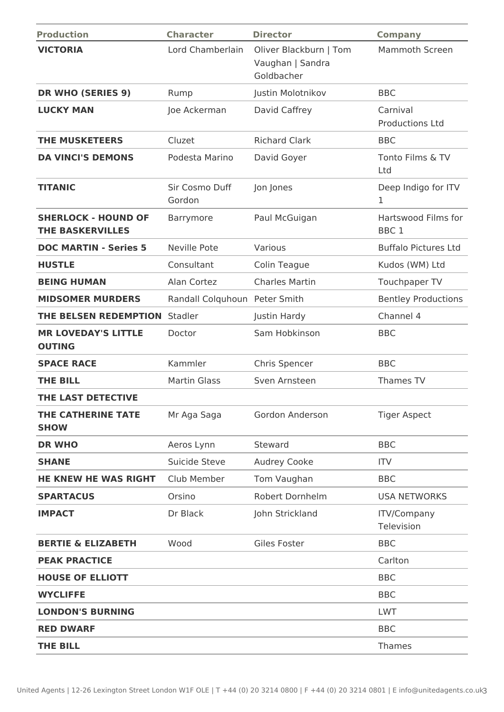| <b>Production</b>                                     | <b>Character</b>              | <b>Director</b>                                          | <b>Company</b>                          |
|-------------------------------------------------------|-------------------------------|----------------------------------------------------------|-----------------------------------------|
| <b>VICTORIA</b>                                       | Lord Chamberlain              | Oliver Blackburn   Tom<br>Vaughan   Sandra<br>Goldbacher | <b>Mammoth Screen</b>                   |
| <b>DR WHO (SERIES 9)</b>                              | Rump                          | Justin Molotnikov                                        | <b>BBC</b>                              |
| <b>LUCKY MAN</b>                                      | Joe Ackerman                  | David Caffrey                                            | Carnival<br><b>Productions Ltd</b>      |
| <b>THE MUSKETEERS</b>                                 | Cluzet                        | <b>Richard Clark</b>                                     | <b>BBC</b>                              |
| <b>DA VINCI'S DEMONS</b>                              | Podesta Marino                | David Goyer                                              | Tonto Films & TV<br>Ltd                 |
| <b>TITANIC</b>                                        | Sir Cosmo Duff<br>Gordon      | Jon Jones                                                | Deep Indigo for ITV<br>1                |
| <b>SHERLOCK - HOUND OF</b><br><b>THE BASKERVILLES</b> | Barrymore                     | Paul McGuigan                                            | Hartswood Films for<br>BBC <sub>1</sub> |
| <b>DOC MARTIN - Series 5</b>                          | Neville Pote                  | Various                                                  | <b>Buffalo Pictures Ltd</b>             |
| <b>HUSTLE</b>                                         | Consultant                    | Colin Teague                                             | Kudos (WM) Ltd                          |
| <b>BEING HUMAN</b>                                    | Alan Cortez                   | <b>Charles Martin</b>                                    | Touchpaper TV                           |
| <b>MIDSOMER MURDERS</b>                               | Randall Colquhoun Peter Smith |                                                          | <b>Bentley Productions</b>              |
| THE BELSEN REDEMPTION                                 | Stadler                       | Justin Hardy                                             | Channel 4                               |
| <b>MR LOVEDAY'S LITTLE</b><br><b>OUTING</b>           | Doctor                        | Sam Hobkinson                                            | <b>BBC</b>                              |
| <b>SPACE RACE</b>                                     | Kammler                       | Chris Spencer                                            | <b>BBC</b>                              |
| <b>THE BILL</b>                                       | <b>Martin Glass</b>           | Sven Arnsteen                                            | Thames TV                               |
| THE LAST DETECTIVE                                    |                               |                                                          |                                         |
| THE CATHERINE TATE<br><b>SHOW</b>                     | Mr Aga Saga                   | Gordon Anderson                                          | <b>Tiger Aspect</b>                     |
| <b>DR WHO</b>                                         | Aeros Lynn                    | Steward                                                  | <b>BBC</b>                              |
| <b>SHANE</b>                                          | Suicide Steve                 | Audrey Cooke                                             | <b>ITV</b>                              |
| <b>HE KNEW HE WAS RIGHT</b>                           | Club Member                   | Tom Vaughan                                              | <b>BBC</b>                              |
| <b>SPARTACUS</b>                                      | Orsino                        | <b>Robert Dornhelm</b>                                   | <b>USA NETWORKS</b>                     |
| <b>IMPACT</b>                                         | Dr Black                      | John Strickland                                          | <b>ITV/Company</b><br>Television        |
| <b>BERTIE &amp; ELIZABETH</b>                         | Wood                          | Giles Foster                                             | <b>BBC</b>                              |
| <b>PEAK PRACTICE</b>                                  |                               |                                                          | Carlton                                 |
| <b>HOUSE OF ELLIOTT</b>                               |                               |                                                          | <b>BBC</b>                              |
| <b>WYCLIFFE</b>                                       |                               |                                                          | <b>BBC</b>                              |
| <b>LONDON'S BURNING</b>                               |                               |                                                          | <b>LWT</b>                              |
| <b>RED DWARF</b>                                      |                               |                                                          | <b>BBC</b>                              |
| <b>THE BILL</b>                                       |                               |                                                          | Thames                                  |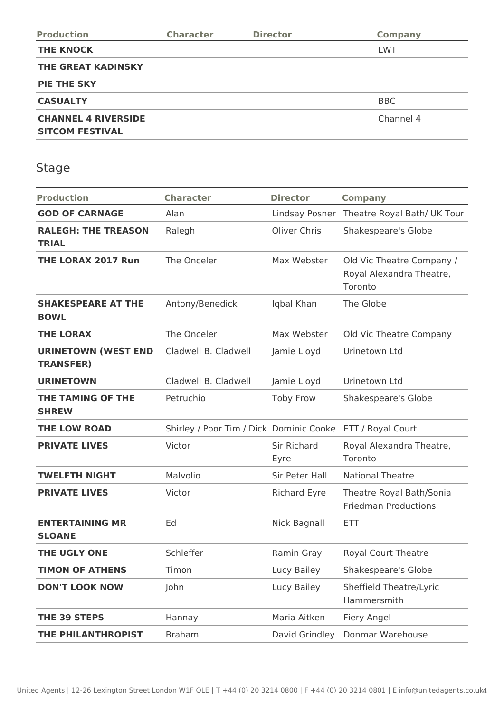| <b>Production</b>                                    | <b>Character</b> | <b>Director</b> | <b>Company</b> |
|------------------------------------------------------|------------------|-----------------|----------------|
| <b>THE KNOCK</b>                                     |                  |                 | <b>LWT</b>     |
| THE GREAT KADINSKY                                   |                  |                 |                |
| <b>PIE THE SKY</b>                                   |                  |                 |                |
| <b>CASUALTY</b>                                      |                  |                 | <b>BBC</b>     |
| <b>CHANNEL 4 RIVERSIDE</b><br><b>SITCOM FESTIVAL</b> |                  |                 | Channel 4      |

# Stage

| <b>Production</b>                              | <b>Character</b>                                          | <b>Director</b>     | <b>Company</b>                                                   |
|------------------------------------------------|-----------------------------------------------------------|---------------------|------------------------------------------------------------------|
| <b>GOD OF CARNAGE</b>                          | Alan                                                      | Lindsay Posner      | Theatre Royal Bath/ UK Tour                                      |
| <b>RALEGH: THE TREASON</b><br><b>TRIAL</b>     | Ralegh                                                    | Oliver Chris        | Shakespeare's Globe                                              |
| <b>THE LORAX 2017 Run</b>                      | The Onceler                                               | Max Webster         | Old Vic Theatre Company /<br>Royal Alexandra Theatre,<br>Toronto |
| <b>SHAKESPEARE AT THE</b><br><b>BOWL</b>       | Antony/Benedick                                           | Iqbal Khan          | The Globe                                                        |
| <b>THE LORAX</b>                               | The Onceler                                               | Max Webster         | Old Vic Theatre Company                                          |
| <b>URINETOWN (WEST END</b><br><b>TRANSFER)</b> | Cladwell B. Cladwell                                      | Jamie Lloyd         | Urinetown Ltd                                                    |
| <b>URINETOWN</b>                               | Cladwell B. Cladwell                                      | Jamie Lloyd         | Urinetown Ltd                                                    |
| THE TAMING OF THE<br><b>SHREW</b>              | Petruchio                                                 | <b>Toby Frow</b>    | Shakespeare's Globe                                              |
| <b>THE LOW ROAD</b>                            | Shirley / Poor Tim / Dick Dominic Cooke ETT / Royal Court |                     |                                                                  |
| <b>PRIVATE LIVES</b>                           | Victor                                                    | Sir Richard<br>Eyre | Royal Alexandra Theatre,<br>Toronto                              |
| <b>TWELFTH NIGHT</b>                           | Malvolio                                                  | Sir Peter Hall      | <b>National Theatre</b>                                          |
| <b>PRIVATE LIVES</b>                           | Victor                                                    | <b>Richard Eyre</b> | Theatre Royal Bath/Sonia<br><b>Friedman Productions</b>          |
| <b>ENTERTAINING MR</b><br><b>SLOANE</b>        | Ed                                                        | Nick Bagnall        | <b>ETT</b>                                                       |
| <b>THE UGLY ONE</b>                            | Schleffer                                                 | Ramin Gray          | Royal Court Theatre                                              |
| <b>TIMON OF ATHENS</b>                         | Timon                                                     | Lucy Bailey         | Shakespeare's Globe                                              |
| <b>DON'T LOOK NOW</b>                          | John                                                      | Lucy Bailey         | Sheffield Theatre/Lyric<br>Hammersmith                           |
| THE 39 STEPS                                   | Hannay                                                    | Maria Aitken        | Fiery Angel                                                      |
| THE PHILANTHROPIST                             | <b>Braham</b>                                             | David Grindley      | Donmar Warehouse                                                 |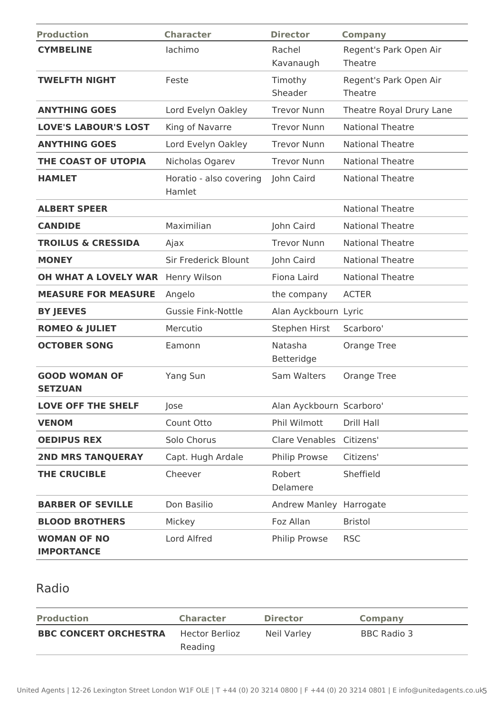| <b>Production</b>                       | <b>Character</b>                  | <b>Director</b>          | <b>Company</b>                    |
|-----------------------------------------|-----------------------------------|--------------------------|-----------------------------------|
| <b>CYMBELINE</b>                        | lachimo                           | Rachel<br>Kavanaugh      | Regent's Park Open Air<br>Theatre |
| <b>TWELFTH NIGHT</b>                    | Feste                             | Timothy<br>Sheader       | Regent's Park Open Air<br>Theatre |
| <b>ANYTHING GOES</b>                    | Lord Evelyn Oakley                | <b>Trevor Nunn</b>       | Theatre Royal Drury Lane          |
| <b>LOVE'S LABOUR'S LOST</b>             | King of Navarre                   | <b>Trevor Nunn</b>       | <b>National Theatre</b>           |
| <b>ANYTHING GOES</b>                    | Lord Evelyn Oakley                | <b>Trevor Nunn</b>       | <b>National Theatre</b>           |
| THE COAST OF UTOPIA                     | Nicholas Ogarev                   | <b>Trevor Nunn</b>       | <b>National Theatre</b>           |
| <b>HAMLET</b>                           | Horatio - also covering<br>Hamlet | John Caird               | <b>National Theatre</b>           |
| <b>ALBERT SPEER</b>                     |                                   |                          | <b>National Theatre</b>           |
| <b>CANDIDE</b>                          | Maximilian                        | John Caird               | <b>National Theatre</b>           |
| <b>TROILUS &amp; CRESSIDA</b>           | Ajax                              | <b>Trevor Nunn</b>       | <b>National Theatre</b>           |
| <b>MONEY</b>                            | Sir Frederick Blount              | John Caird               | <b>National Theatre</b>           |
| <b>OH WHAT A LOVELY WAR</b>             | Henry Wilson                      | Fiona Laird              | <b>National Theatre</b>           |
| <b>MEASURE FOR MEASURE</b>              | Angelo                            | the company              | <b>ACTER</b>                      |
| <b>BY JEEVES</b>                        | Gussie Fink-Nottle                | Alan Ayckbourn Lyric     |                                   |
| <b>ROMEO &amp; JULIET</b>               | Mercutio                          | Stephen Hirst            | Scarboro'                         |
| <b>OCTOBER SONG</b>                     | Eamonn                            | Natasha<br>Betteridge    | Orange Tree                       |
| <b>GOOD WOMAN OF</b><br><b>SETZUAN</b>  | Yang Sun                          | Sam Walters              | Orange Tree                       |
| <b>LOVE OFF THE SHELF</b>               | Jose                              | Alan Ayckbourn Scarboro' |                                   |
| <b>VENOM</b>                            | Count Otto                        | Phil Wilmott             | Drill Hall                        |
| <b>OEDIPUS REX</b>                      | Solo Chorus                       | Clare Venables Citizens' |                                   |
| <b>2ND MRS TANQUERAY</b>                | Capt. Hugh Ardale                 | Philip Prowse            | Citizens'                         |
| <b>THE CRUCIBLE</b>                     | Cheever                           | Robert<br>Delamere       | Sheffield                         |
| <b>BARBER OF SEVILLE</b>                | Don Basilio                       | Andrew Manley Harrogate  |                                   |
| <b>BLOOD BROTHERS</b>                   | Mickey                            | Foz Allan                | <b>Bristol</b>                    |
| <b>WOMAN OF NO</b><br><b>IMPORTANCE</b> | Lord Alfred                       | Philip Prowse            | <b>RSC</b>                        |

# Radio

| <b>Production</b>            | <b>Character</b>          | <b>Director</b> | <b>Company</b> |
|------------------------------|---------------------------|-----------------|----------------|
| <b>BBC CONCERT ORCHESTRA</b> | Hector Berlioz<br>Reading | Neil Varley     | BBC Radio 3    |